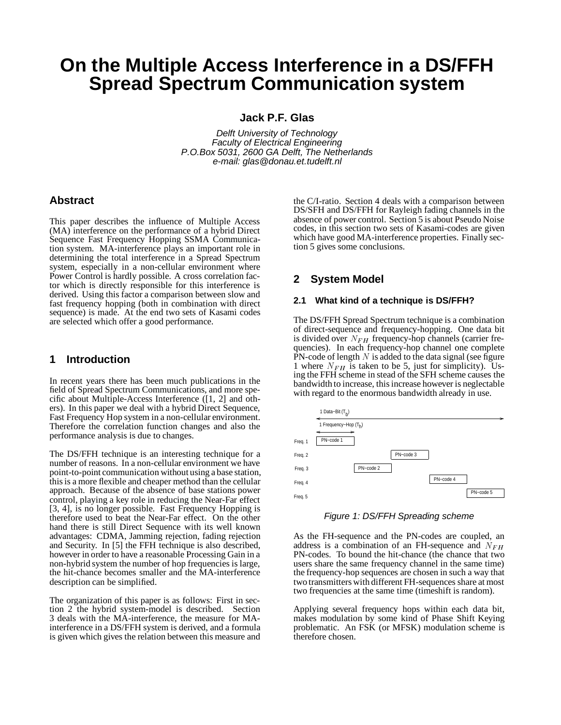# **On the Multiple Access Interference in a DS/FFH Spread Spectrum Communication system**

**Jack P.F. Glas**

Delft University of Technology Faculty of Electrical Engineering P.O.Box 5031, 2600 GA Delft, The Netherlands e-mail: glas@donau.et.tudelft.nl

### **Abstract**

This paper describes the influence of Multiple Access (MA) interference on the performance of a hybrid Direct Sequence Fast Frequency Hopping SSMA Communication system. MA-interference plays an important role in determining the total interference in a Spread Spectrum system, especially in a non-cellular environment where Power Control is hardly possible. A cross correlation factor which is directly responsible for this interference is derived. Using this factor a comparison between slow and fast frequency hopping (both in combination with direct sequence) is made. At the end two sets of Kasami codes are selected which offer a good performance.

## **1 Introduction**

In recent years there has been much publications in the field of Spread Spectrum Communications, and more specific about Multiple-Access Interference ([1, 2] and others). In this paper we deal with a hybrid Direct Sequence, Fast Frequency Hop system in a non-cellular environment. Therefore the correlation function changes and also the performance analysis is due to changes.

The DS/FFH technique is an interesting technique for a number of reasons. In a non-cellular environment we have point-to-point communication without using a base station, this is a more flexible and cheaper method than the cellular approach. Because of the absence of base stations power control, playing a key role in reducing the Near-Far effect [3, 4], is no longer possible. Fast Frequency Hopping is therefore used to beat the Near-Far effect. On the other hand there is still Direct Sequence with its well known advantages: CDMA, Jamming rejection, fading rejection and Security. In [5] the FFH technique is also described, however in order to have a reasonable Processing Gain in a non-hybrid system the number of hop frequencies is large, the hit-chance becomes smaller and the MA-interference description can be simplified.

The organization of this paper is as follows: First in section 2 the hybrid system-model is described. Section 3 deals with the MA-interference, the measure for MAinterference in a DS/FFH system is derived, and a formula is given which gives the relation between this measure and the C/I-ratio. Section 4 deals with a comparison between DS/SFH and DS/FFH for Rayleigh fading channels in the absence of power control. Section 5 is about Pseudo Noise codes, in this section two sets of Kasami-codes are given which have good MA-interference properties. Finally section 5 gives some conclusions.

## **2 System Model**

#### **2.1 What kind of a technique is DS/FFH?**

The DS/FFH Spread Spectrum technique is a combination of direct-sequence and frequency-hopping. One data bit is divided over  $N_{FH}$  frequency-hop channels (carrier frequencies). In each frequency-hop channel one complete  $\overline{PN}$ -code of length N is added to the data signal (see figure 1 where  $N_{FH}$  is taken to be 5, just for simplicity). Using the FFH scheme in stead of the SFH scheme causes the bandwidth to increase, this increase however is neglectable with regard to the enormous bandwidth already in use.



Figure 1: DS/FFH Spreading scheme

As the FH-sequence and the PN-codes are coupled, an address is a combination of an FH-sequence and  $N_{FH}$ PN-codes. To bound the hit-chance (the chance that two users share the same frequency channel in the same time) the frequency-hop sequences are chosen in such a way that two transmitters with different FH-sequences share at most two frequencies at the same time (timeshift is random).

Applying several frequency hops within each data bit, makes modulation by some kind of Phase Shift Keying problematic. An FSK (or MFSK) modulation scheme is therefore chosen.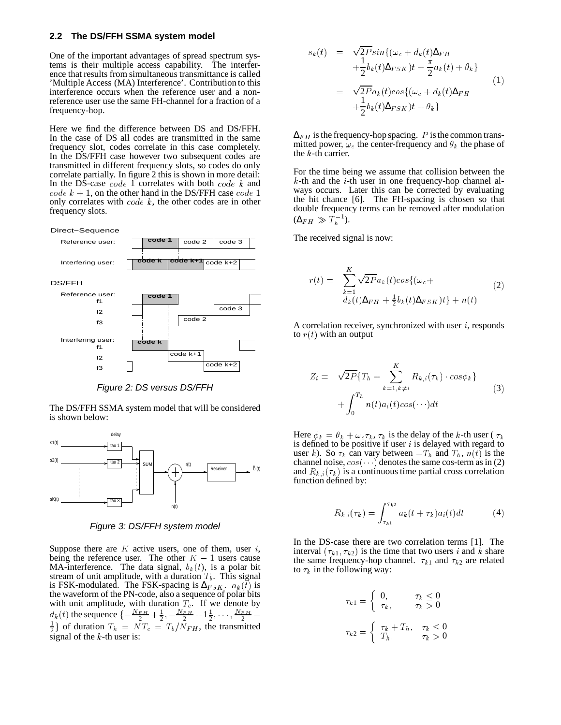#### **2.2 The DS/FFH SSMA system model**

One of the important advantages of spread spectrum systems is their multiple access capability. The interference that results from simultaneous transmittance is called 'Multiple Access (MA) Interference'. Contribution to this interference occurs when the reference user and a nonreference user use the same FH-channel for a fraction of a frequency-hop.

Here we find the difference between DS and DS/FFH. In the case of DS all codes are transmitted in the same frequency slot, codes correlate in this case completely. In the DS/FFH case however two subsequent codes are transmitted in different frequency slots, so codes do only correlate partially. In figure 2 this is shown in more detail: In the DS-case  $code$  1 correlates with both  $code$  k and code  $k + 1$ , on the other hand in the DS/FFH case code 1 only correlates with  $code k$ , the other codes are in other frequency slots.



Figure 2: DS versus DS/FFH

The DS/FFH SSMA system model that will be considered is shown below:



Figure 3: DS/FFH system model

Suppose there are  $K$  active users, one of them, user  $i$ , being the reference user. The other  $K - 1$  users cause MA-interference. The data signal,  $b_k(t)$ , is a polar bit stream of unit amplitude, with a duration  $T_b$ . This signal is FSK-modulated. The FSK-spacing is  $\Delta_{FSK}$ .  $a_k(t)$  is the waveform of the PN-code, also a sequence of polar bits with unit amplitude, with duration  $T_c$ . If we denote by  $d_k(t)$  the sequence  $\{-\frac{N_F H}{2} + \frac{1}{2}, -\frac{N_F H}{2} + 1\frac{1}{2}, \cdots, \frac{N_F H}{2} - \}$  $\frac{1}{2}$  of duration  $T_h = NT_c = T_b/N_{FH}$ , the transmitted signal of the  $k$ -th user is:

$$
s_k(t) = \sqrt{2Psin} \{ (\omega_c + d_k(t)\Delta_{FH} + \frac{\pi}{2}b_k(t)\Delta_{FSK})t + \frac{\pi}{2}a_k(t) + \theta_k \}
$$
  

$$
= \sqrt{2Pa_k}(t)cos\{ (\omega_c + d_k(t)\Delta_{FH} + \frac{1}{2}b_k(t)\Delta_{FSK})t + \theta_k \}
$$
 (1)

 $\Delta_{FH}$  is the frequency-hop spacing. P is the common transmitted power,  $\omega_c$  the center-frequency and  $\theta_k$  the phase of the  $k$ -th carrier.

For the time being we assume that collision between the  $k$ -th and the  $i$ -th user in one frequency-hop channel always occurs. Later this can be corrected by evaluating the hit chance [6]. The FH-spacing is chosen so that double frequency terms can be removed after modulation  $(\Delta_{FH} \gg T_h^{-1}).$ 

The received signal is now:

$$
r(t) = \sum_{k=1}^{K} \sqrt{2P} a_k(t) \cos\{(\omega_c + d_k(t)\Delta_{FH} + \frac{1}{2}b_k(t)\Delta_{FSK})t\} + n(t)
$$
\n(2)

A correlation receiver, synchronized with user  $i$ , responds to  $r(t)$  with an output

$$
Z_i = \sqrt{2P} \{ T_h + \sum_{k=1, k \neq i}^{K} R_{k,i}(\tau_k) \cdot cos\phi_k \} + \int_0^{T_h} n(t) a_i(t) cos(\cdots) dt
$$
 (3)

Here  $\phi_k = \theta_k + \omega_c \tau_k$ ,  $\tau_k$  is the delay of the k-th user ( $\tau_k$ ) is defined to be positive if user  $i$  is delayed with regard to user k). So  $\tau_k$  can vary between  $-T_h$  and  $T_h$ ,  $n(t)$  is the channel noise,  $cos(-i)$  denotes the same cos-term as in (2) and  $R_{k,i}(\tau_k)$  is a continuous time partial cross correlation function defined by:

$$
R_{k,i}(\tau_k) = \int_{\tau_{k1}}^{\tau_{k2}} a_k(t + \tau_k) a_i(t) dt \tag{4}
$$

In the DS-case there are two correlation terms [1]. The interval  $(\tau_{k1}, \tau_{k2})$  is the time that two users i and k share the same frequency-hop channel.  $\tau_{k1}$  and  $\tau_{k2}$  are related to  $\tau_k$  in the following way:

$$
\tau_{k1} = \begin{cases}\n0, & \tau_k \le 0 \\
\tau_k, & \tau_k > 0\n\end{cases}
$$
\n
$$
\tau_{k2} = \begin{cases}\n\tau_k + T_h, & \tau_k \le 0 \\
T_h, & \tau_k > 0\n\end{cases}
$$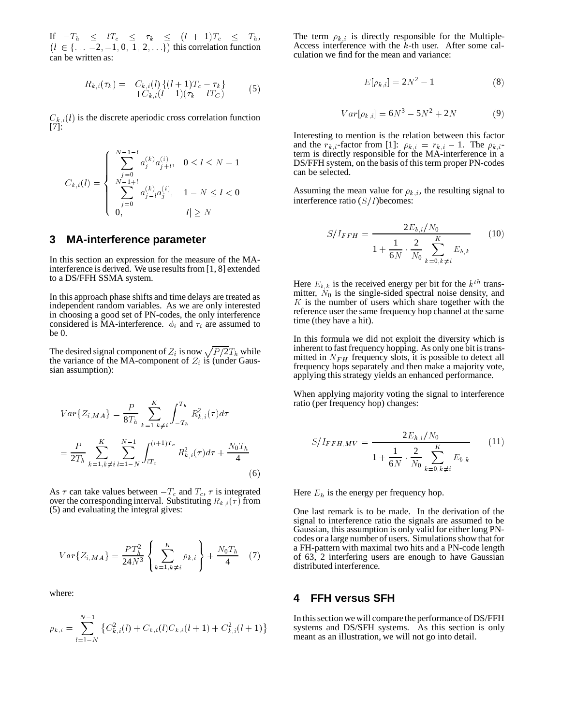If  $-T_h \leq lT_c \leq \tau_k \leq (l + 1)T_c \leq T_h,$ <br>  $(l \in \{\ldots -2, -1, 0, 1, 2, \ldots\})$  this correlation function can be written as:

$$
R_{k,i}(\tau_k) = C_{k,i}(l) \{ (l+1)T_c - \tau_k \} + C_{k,i}(l+1)(\tau_k - lT_C)
$$
 (5)

 $C_{k,i}(l)$  is the discrete aperiodic cross correlation function [7]:

$$
C_{k,i}(l) = \begin{cases} \sum_{j=0}^{N-1-l} a_j^{(k)} a_{j+l}^{(i)}, & 0 \le l \le N-1\\ \sum_{j=0}^{N-1+l} a_{j-l}^{(k)} a_j^{(i)}, & 1-N \le l < 0\\ 0, & |l| \ge N \end{cases}
$$

#### **3 MA-interference parameter**

In this section an expression for the measure of the MAinterference is derived. We use results from [1, 8] extended to a DS/FFH SSMA system.

In this approach phase shifts and time delays are treated as independent random variables. As we are only interested in choosing a good set of PN-codes, the only interference considered is MA-interference.  $\phi_i$  and  $\tau_i$  are assumed to be 0.

The desired signal component of  $Z_i$  is now  $\sqrt{P/2}T_h$  while the variance of the MA-component of  $Z_i$  is (under Gaussian assumption):

$$
Var\{Z_{i,MA}\} = \frac{P}{8T_h} \sum_{k=1, k\neq i}^{K} \int_{-T_h}^{T_h} R_{k,i}^2(\tau) d\tau
$$

$$
= \frac{P}{2T_h} \sum_{k=1, k\neq i}^{K} \sum_{l=1-N}^{N-1} \int_{lT_c}^{(l+1)T_c} R_{k,i}^2(\tau) d\tau + \frac{N_0T_h}{4}
$$
(6)

As  $\tau$  can take values between  $-T_c$  and  $T_c$ ,  $\tau$  is integrated over the corresponding interval. Substituting  $R_{k,i}(\tau)$  from (5) and evaluating the integral gives:

$$
Var{Z_{i,MA}} = \frac{PT_h^2}{24N^3} \left\{ \sum_{k=1, k \neq i}^{K} \rho_{k,i} \right\} + \frac{N_0 T_h}{4} \quad (7)
$$

where:

$$
\rho_{k,i} = \sum_{l=1-N}^{N-1} \left\{ C_{k,i}^2(l) + C_{k,i}(l)C_{k,i}(l+1) + C_{k,i}^2(l+1) \right\}
$$

The term  $\rho_{k,i}$  is directly responsible for the Multiple-Access interference with the  $\bar{k}$ -th user. After some calculation we find for the mean and variance:

$$
E[\rho_{k,i}] = 2N^2 - 1 \tag{8}
$$

$$
Var[\rho_{k,i}] = 6N^3 - 5N^2 + 2N \tag{9}
$$

Interesting to mention is the relation between this factor and the  $r_{k,i}$ -factor from [1]:  $\rho_{k,i} = r_{k,i} - 1$ . The  $\rho_{k,i}$ term is directly responsible for the MA-interference in a DS/FFH system, on the basis of this term proper PN-codes can be selected.

Assuming the mean value for  $\rho_{k,i}$ , the resulting signal to interference ratio  $(S/I)$ becomes:

$$
S/I_{FFH} = \frac{2E_{b,i}/N_0}{1 + \frac{1}{6N} \cdot \frac{2}{N_0} \sum_{k=0, k \neq i}^{K} E_{b,k}}
$$
(10)

Here  $E_{b,k}$  is the received energy per bit for the  $k^{th}$  transmitter,  $\tilde{N}_0$  is the single-sided spectral noise density, and  $K$  is the number of users which share together with the reference user the same frequency hop channel at the same time (they have a hit).

In this formula we did not exploit the diversity which is inherent to fast frequency hopping. As only one bit is transmitted in  $N_{FH}$  frequency slots, it is possible to detect all frequency hops separately and then make a majority vote, applying this strategy yields an enhanced performance.

When applying majority voting the signal to interference ratio (per frequency hop) changes:

$$
S/I_{FFH,MV} = \frac{2E_{h,i}/N_0}{1 + \frac{1}{6N} \cdot \frac{2}{N_0} \sum_{k=0,k \neq i}^{K} E_{b,k}}
$$
(11)

Here  $E_h$  is the energy per frequency hop.

One last remark is to be made. In the derivation of the signal to interference ratio the signals are assumed to be Gaussian, this assumption is only valid for either long PNcodes or a large number of users. Simulations show that for a FH-pattern with maximal two hits and a PN-code length of 63, 2 interfering users are enough to have Gaussian distributed interference.

#### **4 FFH versus SFH**

In this section we will compare the performance of DS/FFH systems and DS/SFH systems. As this section is only meant as an illustration, we will not go into detail.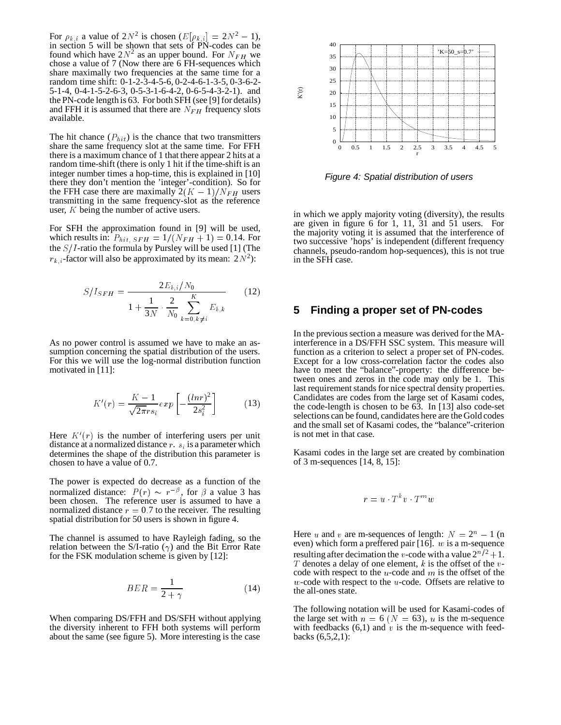For  $\rho_{k,i}$  a value of  $2N^2$  is chosen  $(E[\rho_{k,i}] = 2N^2 - 1)$ , in section 5 will be shown that sets of PN-codes can be found which have  $2N^2$  as an upper bound. For  $N_{FH}$  we chose a value of 7 (Now there are 6 FH-sequences which share maximally two frequencies at the same time for a random time shift: 0-1-2-3-4-5-6, 0-2-4-6-1-3-5, 0-3-6-2- 5-1-4, 0-4-1-5-2-6-3, 0-5-3-1-6-4-2, 0-6-5-4-3-2-1). and the PN-code length is 63. For both SFH (see [9] for details) and FFH it is assumed that there are  $N_{FH}$  frequency slots available.

The hit chance  $(P_{hit})$  is the chance that two transmitters share the same frequency slot at the same time. For FFH there is a maximum chance of 1 that there appear 2 hits at a random time-shift (there is only 1 hit if the time-shift is an integer number times a hop-time, this is explained in [10] there they don't mention the 'integer'-condition). So for the FFH case there are maximally  $2(K-1)/N_{FH}$  users transmitting in the same frequency-slot as the reference user, <sup>K</sup> being the number of active users.

For SFH the approximation found in [9] will be used, which results in:  $P_{hit, SFH} = 1/(N_{FH} + 1) = 0.14$ . For the  $S/I$ -ratio the formula by Pursley will be used [1] (The  $r_{k,i}$ -factor will also be approximated by its mean:  $2N^2$ ):

$$
S/I_{SFH} = \frac{2E_{b,i}/N_0}{1 + \frac{1}{3N} \cdot \frac{2}{N_0} \sum_{k=0, k \neq i}^{K} E_{b,k}}
$$
(12)

As no power control is assumed we have to make an assumption concerning the spatial distribution of the users. For this we will use the log-normal distribution function motivated in [11]:

$$
K'(r) = \frac{K-1}{\sqrt{2\pi}rs_i}exp\left[-\frac{(\ln r)^2}{2s_i^2}\right]
$$
 (13)

Here  $K'(r)$  is the number of interfering users per unit distance at a normalized distance  $r$ .  $s_i$  is a parameter which determines the shape of the distribution this parameter is chosen to have a value of 0.7.

The power is expected do decrease as a function of the normalized distance:  $P(r) \sim r^{-\beta}$ , for  $\beta$  a value 3 has been chosen. The reference user is assumed to have a normalized distance  $r = 0.7$  to the receiver. The resulting spatial distribution for 50 users is shown in figure 4.

The channel is assumed to have Rayleigh fading, so the relation between the S/I-ratio  $(\gamma)$  and the Bit Error Rate for the FSK modulation scheme is given by [12]:

$$
BER = \frac{1}{2 + \gamma} \tag{14}
$$

When comparing DS/FFH and DS/SFH without applying the diversity inherent to FFH both systems will perform about the same (see figure 5). More interesting is the case



Figure 4: Spatial distribution of users

in which we apply majority voting (diversity), the results are given in figure 6 for 1, 11, 31 and 51 users. For the majority voting it is assumed that the interference of two successive 'hops' is independent (different frequency channels, pseudo-random hop-sequences), this is not true in the SFH case.

#### **5 Finding a proper set of PN-codes**

In the previous section a measure was derived for the MAinterference in a DS/FFH SSC system. This measure will function as a criterion to select a proper set of PN-codes. Except for a low cross-correlation factor the codes also have to meet the "balance"-property: the difference between ones and zeros in the code may only be 1. This last requirement stands for nice spectral density properties. Candidates are codes from the large set of Kasami codes, the code-length is chosen to be 63. In [13] also code-set selections can be found, candidates here are the Gold codes and the small set of Kasami codes, the "balance"-criterion is not met in that case.

Kasami codes in the large set are created by combination of 3 m-sequences [14, 8, 15]:

$$
r = u \cdot T^k v \cdot T^m w
$$

Here u and v are m-sequences of length:  $N = 2<sup>n</sup> - 1$  (n even) which form a preffered pair  $[16]$ . w is a m-sequence resulting after decimation the *v*-code with a value  $2^{n/2} + 1$ .  $T$  denotes a delay of one element,  $k$  is the offset of the  $v$ code with respect to the  $u$ -code and  $m$  is the offset of the  $w$ -code with respect to the  $u$ -code. Offsets are relative to the all-ones state.

The following notation will be used for Kasami-codes of the large set with  $n = 6$  ( $N = 63$ ), u is the m-sequence with feedbacks  $(6,1)$  and v is the m-sequence with feedbacks (6,5,2,1):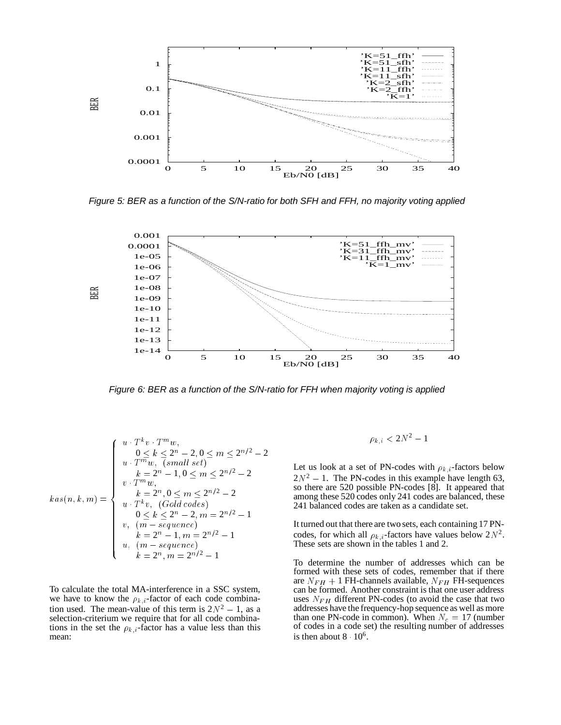

Figure 5: BER as a function of the S/N-ratio for both SFH and FFH, no majority voting applied



Figure 6: BER as a function of the S/N-ratio for FFH when majority voting is applied

$$
kas(n, k, m) = \begin{cases} u \cdot T^k v \cdot T^m w, & 0 \le k \le 2^n - 2, 0 \le m \le 2^{n/2} - 2 \\ u \cdot T^m w, & (small set) \\ k = 2^n - 1, 0 \le m \le 2^{n/2} - 2 \\ v \cdot T^m w, & k = 2^n, 0 \le m \le 2^{n/2} - 2 \\ u \cdot T^k v, & (Gold codes) \\ 0 \le k \le 2^n - 2, m = 2^{n/2} - 1 \\ v, & (m - sequence) \\ k = 2^n - 1, m = 2^{n/2} - 1 \\ u, & (m - sequence) \\ k = 2^n, m = 2^{n/2} - 1 \end{cases}
$$

To calculate the total MA-interference in a SSC system, we have to know the  $\rho_{k,i}$ -factor of each code combination used. The mean-value of this term is  $2N^2 - 1$ , as a selection-criterium we require that for all code combinations in the set the  $\rho_{k,i}$ -factor has a value less than this mean:

$$
\rho_{k,i} < 2N^2 - 1
$$

Let us look at a set of PN-codes with  $\rho_{k,i}$ -factors below  $2N^2 - 1$ . The PN-codes in this example have length 63, so there are 520 possible PN-codes [8]. It appeared that among these 520 codes only 241 codes are balanced, these 241 balanced codes are taken as a candidate set.

It turned out that there are two sets, each containing 17 PNcodes, for which all  $\rho_{k,i}$ -factors have values below  $2N^2$ . These sets are shown in the tables 1 and 2.

To determine the number of addresses which can be formed with these sets of codes, remember that if there are  $N_{FH}$  + 1 FH-channels available,  $N_{FH}$  FH-sequences can be formed. Another constraint is that one user address uses  $N_{FH}$  different PN-codes (to avoid the case that two addresses have the frequency-hop sequence as well as more than one PN-code in common). When  $N_c = 17$  (number of codes in a code set) the resulting number of addresses is then about  $8 \cdot 10^6$ .